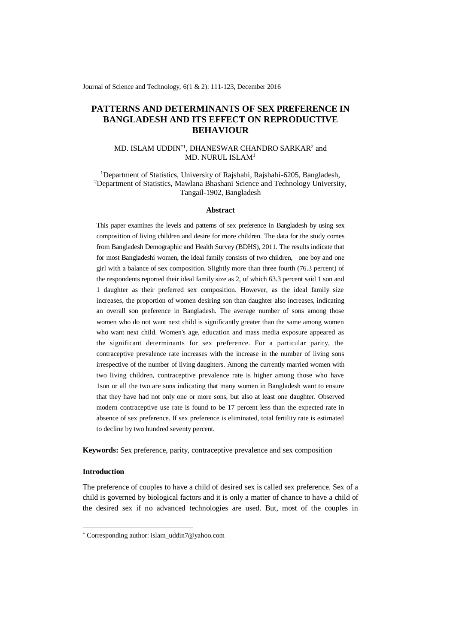Journal of Science and Technology, 6(1 & 2): 111-123, December 2016

# **PATTERNS AND DETERMINANTS OF SEX PREFERENCE IN BANGLADESH AND ITS EFFECT ON REPRODUCTIVE BEHAVIOUR**

# MD. ISLAM UDDIN<sup>\*1</sup>, DHANESWAR CHANDRO SARKAR<sup>2</sup> and MD. NURUL ISLAM<sup>1</sup>

<sup>1</sup>Department of Statistics, University of Rajshahi, Rajshahi-6205, Bangladesh, <sup>2</sup>Department of Statistics, Mawlana Bhashani Science and Technology University, Tangail-1902, Bangladesh

#### **Abstract**

This paper examines the levels and patterns of sex preference in Bangladesh by using sex composition of living children and desire for more children. The data for the study comes from Bangladesh Demographic and Health Survey (BDHS), 2011. The results indicate that for most Bangladeshi women, the ideal family consists of two children, one boy and one girl with a balance of sex composition. Slightly more than three fourth (76.3 percent) of the respondents reported their ideal family size as 2, of which 63.3 percent said 1 son and 1 daughter as their preferred sex composition. However, as the ideal family size increases, the proportion of women desiring son than daughter also increases, indicating an overall son preference in Bangladesh. The average number of sons among those women who do not want next child is significantly greater than the same among women who want next child. Women's age, education and mass media exposure appeared as the significant determinants for sex preference. For a particular parity, the contraceptive prevalence rate increases with the increase in the number of living sons irrespective of the number of living daughters. Among the currently married women with two living children, contraceptive prevalence rate is higher among those who have 1son or all the two are sons indicating that many women in Bangladesh want to ensure that they have had not only one or more sons, but also at least one daughter. Observed modern contraceptive use rate is found to be 17 percent less than the expected rate in absence of sex preference. If sex preference is eliminated, total fertility rate is estimated to decline by two hundred seventy percent.

**Keywords:** Sex preference, parity, contraceptive prevalence and sex composition

# **Introduction**

-

The preference of couples to have a child of desired sex is called sex preference. Sex of a child is governed by biological factors and it is only a matter of chance to have a child of the desired sex if no advanced technologies are used. But, most of the couples in

<sup>\*</sup> Corresponding author: islam\_uddin7@yahoo.com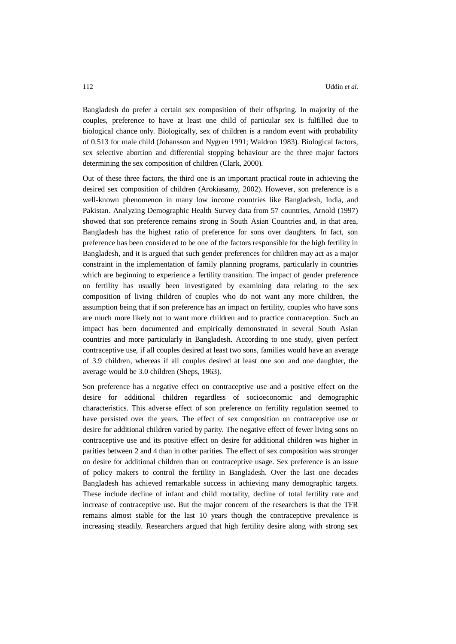Bangladesh do prefer a certain sex composition of their offspring. In majority of the couples, preference to have at least one child of particular sex is fulfilled due to biological chance only. Biologically, sex of children is a random event with probability of 0.513 for male child (Johansson and Nygren 1991; Waldron 1983). Biological factors, sex selective abortion and differential stopping behaviour are the three major factors determining the sex composition of children (Clark, 2000).

Out of these three factors, the third one is an important practical route in achieving the desired sex composition of children (Arokiasamy, 2002). However, son preference is a well-known phenomenon in many low income countries like Bangladesh, India, and Pakistan. Analyzing Demographic Health Survey data from 57 countries, Arnold (1997) showed that son preference remains strong in South Asian Countries and, in that area, Bangladesh has the highest ratio of preference for sons over daughters. In fact, son preference has been considered to be one of the factors responsible for the high fertility in Bangladesh, and it is argued that such gender preferences for children may act as a major constraint in the implementation of family planning programs, particularly in countries which are beginning to experience a fertility transition. The impact of gender preference on fertility has usually been investigated by examining data relating to the sex composition of living children of couples who do not want any more children, the assumption being that if son preference has an impact on fertility, couples who have sons are much more likely not to want more children and to practice contraception. Such an impact has been documented and empirically demonstrated in several South Asian countries and more particularly in Bangladesh. According to one study, given perfect contraceptive use, if all couples desired at least two sons, families would have an average of 3.9 children, whereas if all couples desired at least one son and one daughter, the average would be 3.0 children (Sheps, 1963).

Son preference has a negative effect on contraceptive use and a positive effect on the desire for additional children regardless of socioeconomic and demographic characteristics. This adverse effect of son preference on fertility regulation seemed to have persisted over the years. The effect of sex composition on contraceptive use or desire for additional children varied by parity. The negative effect of fewer living sons on contraceptive use and its positive effect on desire for additional children was higher in parities between 2 and 4 than in other parities. The effect of sex composition was stronger on desire for additional children than on contraceptive usage. Sex preference is an issue of policy makers to control the fertility in Bangladesh. Over the last one decades Bangladesh has achieved remarkable success in achieving many demographic targets. These include decline of infant and child mortality, decline of total fertility rate and increase of contraceptive use. But the major concern of the researchers is that the TFR remains almost stable for the last 10 years though the contraceptive prevalence is increasing steadily. Researchers argued that high fertility desire along with strong sex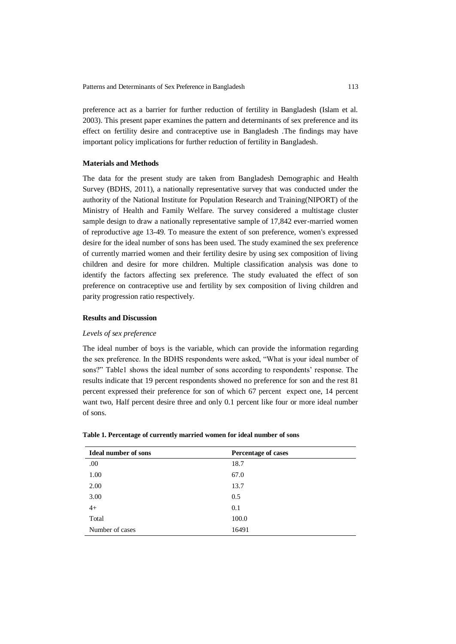preference act as a barrier for further reduction of fertility in Bangladesh (Islam et al. 2003). This present paper examines the pattern and determinants of sex preference and its effect on fertility desire and contraceptive use in Bangladesh .The findings may have important policy implications for further reduction of fertility in Bangladesh.

# **Materials and Methods**

The data for the present study are taken from Bangladesh Demographic and Health Survey (BDHS, 2011), a nationally representative survey that was conducted under the authority of the National Institute for Population Research and Training(NIPORT) of the Ministry of Health and Family Welfare. The survey considered a multistage cluster sample design to draw a nationally representative sample of 17,842 ever-married women of reproductive age 13-49. To measure the extent of son preference, women's expressed desire for the ideal number of sons has been used. The study examined the sex preference of currently married women and their fertility desire by using sex composition of living children and desire for more children. Multiple classification analysis was done to identify the factors affecting sex preference. The study evaluated the effect of son preference on contraceptive use and fertility by sex composition of living children and parity progression ratio respectively.

## **Results and Discussion**

## *Levels of sex preference*

The ideal number of boys is the variable, which can provide the information regarding the sex preference. In the BDHS respondents were asked, "What is your ideal number of sons?" Table1 shows the ideal number of sons according to respondents' response. The results indicate that 19 percent respondents showed no preference for son and the rest 81 percent expressed their preference for son of which 67 percent expect one, 14 percent want two, Half percent desire three and only 0.1 percent like four or more ideal number of sons.

| <b>Ideal number of sons</b> | <b>Percentage of cases</b> |
|-----------------------------|----------------------------|
| .00                         | 18.7                       |
| 1.00                        | 67.0                       |
| 2.00                        | 13.7                       |
| 3.00                        | 0.5                        |
| $4+$                        | 0.1                        |
| Total                       | 100.0                      |
| Number of cases             | 16491                      |

**Table 1. Percentage of currently married women for ideal number of sons**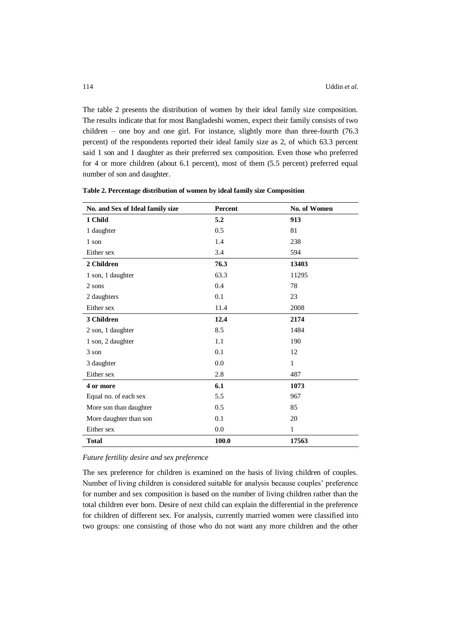The table 2 presents the distribution of women by their ideal family size composition. The results indicate that for most Bangladeshi women, expect their family consists of two children – one boy and one girl. For instance, slightly more than three-fourth (76.3 percent) of the respondents reported their ideal family size as 2, of which 63.3 percent said 1 son and 1 daughter as their preferred sex composition. Even those who preferred for 4 or more children (about 6.1 percent), most of them (5.5 percent) preferred equal number of son and daughter.

| No. and Sex of Ideal family size | Percent | No. of Women |
|----------------------------------|---------|--------------|
| 1 Child                          | 5.2     | 913          |
| 1 daughter                       | 0.5     | 81           |
| 1 son                            | 1.4     | 238          |
| Either sex                       | 3.4     | 594          |
| 2 Children                       | 76.3    | 13403        |
| 1 son, 1 daughter                | 63.3    | 11295        |
| 2 sons                           | 0.4     | 78           |
| 2 daughters                      | 0.1     | 23           |
| Either sex                       | 11.4    | 2008         |
| 3 Children                       | 12.4    | 2174         |
| 2 son, 1 daughter                | 8.5     | 1484         |
| 1 son, 2 daughter                | 1.1     | 190          |
| 3 son                            | 0.1     | 12           |
| 3 daughter                       | 0.0     | $\mathbf{1}$ |
| Either sex                       | 2.8     | 487          |
| 4 or more                        | 6.1     | 1073         |
| Equal no. of each sex            | 5.5     | 967          |
| More son than daughter           | 0.5     | 85           |
| More daughter than son           | 0.1     | 20           |
| Either sex                       | 0.0     | 1            |
| <b>Total</b>                     | 100.0   | 17563        |

**Table 2. Percentage distribution of women by ideal family size Composition**

## *Future fertility desire and sex preference*

The sex preference for children is examined on the basis of living children of couples. Number of living children is considered suitable for analysis because couples' preference for number and sex composition is based on the number of living children rather than the total children ever born. Desire of next child can explain the differential in the preference for children of different sex. For analysis, currently married women were classified into two groups: one consisting of those who do not want any more children and the other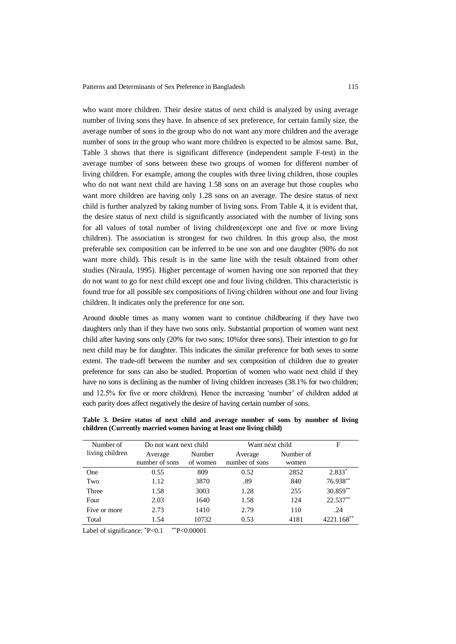who want more children. Their desire status of next child is analyzed by using average number of living sons they have. In absence of sex preference, for certain family size, the average number of sons in the group who do not want any more children and the average number of sons in the group who want more children is expected to be almost same. But, Table 3 shows that there is significant difference (independent sample F-test) in the average number of sons between these two groups of women for different number of living children. For example, among the couples with three living children, those couples who do not want next child are having 1.58 sons on an average but those couples who want more children are having only 1.28 sons on an average. The desire status of next child is further analyzed by taking number of living sons. From Table 4, it is evident that, the desire status of next child is significantly associated with the number of living sons for all values of total number of living children(except one and five or more living children). The association is strongest for two children. In this group also, the most preferable sex composition can be inferred to be one son and one daughter (90% do not want more child). This result is in the same line with the result obtained from other studies (Niraula, 1995). Higher percentage of women having one son reported that they do not want to go for next child except one and four living children. This characteristic is found true for all possible sex compositions of living children without one and four living children. It indicates only the preference for one son.

Around double times as many women want to continue childbearing if they have two daughters only than if they have two sons only. Substantial proportion of women want next child after having sons only (20% for two sons; 10%for three sons). Their intention to go for next child may be for daughter. This indicates the similar preference for both sexes to some extent. The trade-off between the number and sex composition of children due to greater preference for sons can also be studied. Proportion of women who want next child if they have no sons is declining as the number of living children increases (38.1% for two children; and 12.5% for five or more children). Hence the increasing 'number' of children added at each parity does affect negatively the desire of having certain number of sons.

| Number of       | Do not want next child    |                    | Want next child           | F                  |            |
|-----------------|---------------------------|--------------------|---------------------------|--------------------|------------|
| living children | Average<br>number of sons | Number<br>of women | Average<br>number of sons | Number of<br>women |            |
| One             | 0.55                      | 809                | 0.52                      | 2852               | $2.833*$   |
| Two             | 1.12                      | 3870               | .89                       | 840                | 76.938**   |
| Three           | 1.58                      | 3003               | 1.28                      | 255                | $30.859**$ |
| Four            | 2.03                      | 1640               | 1.58                      | 124                | 22.537**   |
| Five or more    | 2.73                      | 1410               | 2.79                      | 110                | .24        |
| Total           | 1.54                      | 10732              | 0.53                      | 4181               | 4221.168** |

**Table 3. Desire status of next child and average number of sons by number of living children (Currently married women having at least one living child)**

Label of significance:  $P<0.1$  \*\*P<0.00001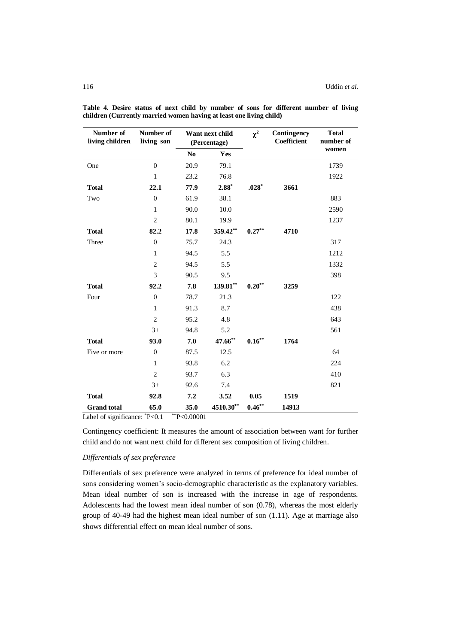| Number of<br>living children | Number of<br>living son | Want next child<br>(Percentage) |           | $\chi^2$  | Contingency<br>Coefficient | <b>Total</b><br>number of |
|------------------------------|-------------------------|---------------------------------|-----------|-----------|----------------------------|---------------------------|
|                              |                         | N <sub>o</sub>                  | Yes       |           |                            | women                     |
| One                          | $\theta$                | 20.9                            | 79.1      |           |                            | 1739                      |
|                              | 1                       | 23.2                            | 76.8      |           |                            | 1922                      |
| <b>Total</b>                 | 22.1                    | 77.9                            | $2.88*$   | $.028*$   | 3661                       |                           |
| Two                          | $\mathbf{0}$            | 61.9                            | 38.1      |           |                            | 883                       |
|                              | $\mathbf{1}$            | 90.0                            | 10.0      |           |                            | 2590                      |
|                              | $\overline{2}$          | 80.1                            | 19.9      |           |                            | 1237                      |
| <b>Total</b>                 | 82.2                    | 17.8                            | 359.42**  | $0.27**$  | 4710                       |                           |
| Three                        | $\mathbf{0}$            | 75.7                            | 24.3      |           |                            | 317                       |
|                              | 1                       | 94.5                            | 5.5       |           |                            | 1212                      |
|                              | $\overline{2}$          | 94.5                            | 5.5       |           |                            | 1332                      |
|                              | 3                       | 90.5                            | 9.5       |           |                            | 398                       |
| <b>Total</b>                 | 92.2                    | 7.8                             | 139.81**  | $0.20***$ | 3259                       |                           |
| Four                         | $\overline{0}$          | 78.7                            | 21.3      |           |                            | 122                       |
|                              | $\mathbf{1}$            | 91.3                            | 8.7       |           |                            | 438                       |
|                              | $\overline{2}$          | 95.2                            | 4.8       |           |                            | 643                       |
|                              | $3+$                    | 94.8                            | 5.2       |           |                            | 561                       |
| <b>Total</b>                 | 93.0                    | 7.0                             | 47.66**   | $0.16***$ | 1764                       |                           |
| Five or more                 | $\mathbf{0}$            | 87.5                            | 12.5      |           |                            | 64                        |
|                              | $\mathbf{1}$            | 93.8                            | 6.2       |           |                            | 224                       |
|                              | $\overline{2}$          | 93.7                            | 6.3       |           |                            | 410                       |
|                              | $3+$                    | 92.6                            | 7.4       |           |                            | 821                       |
| <b>Total</b>                 | 92.8                    | 7.2                             | 3.52      | 0.05      | 1519                       |                           |
| <b>Grand</b> total           | 65.0                    | 35.0                            | 4510.30** | $0.46***$ | 14913                      |                           |

**Table 4. Desire status of next child by number of sons for different number of living children (Currently married women having at least one living child)**

Label of significance:  $P < 0.1$  \*\*P $< 0.00001$ 

Contingency coefficient: It measures the amount of association between want for further child and do not want next child for different sex composition of living children.

# *Differentials of sex preference*

Differentials of sex preference were analyzed in terms of preference for ideal number of sons considering women's socio-demographic characteristic as the explanatory variables. Mean ideal number of son is increased with the increase in age of respondents. Adolescents had the lowest mean ideal number of son (0.78), whereas the most elderly group of 40-49 had the highest mean ideal number of son (1.11). Age at marriage also shows differential effect on mean ideal number of sons.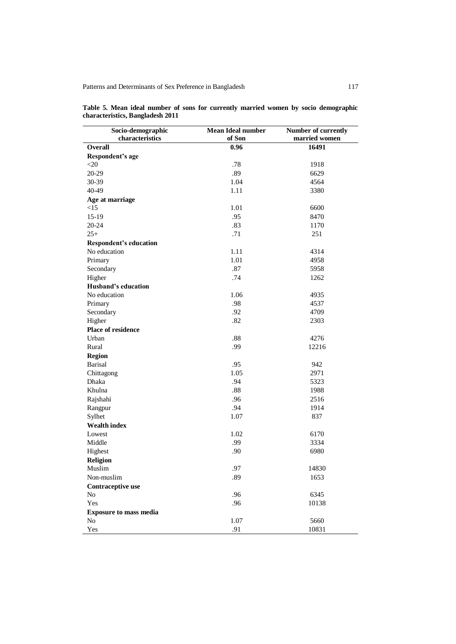| Socio-demographic<br>characteristics | <b>Mean Ideal number</b><br>of Son | Number of currently<br>married women |
|--------------------------------------|------------------------------------|--------------------------------------|
| <b>Overall</b>                       | 0.96                               | 16491                                |
| Respondent's age                     |                                    |                                      |
| $\leq$ 20                            | .78                                | 1918                                 |
| 20-29                                | .89                                | 6629                                 |
| 30-39                                | 1.04                               | 4564                                 |
| 40-49                                | 1.11                               | 3380                                 |
| Age at marriage                      |                                    |                                      |
| <15                                  | 1.01                               | 6600                                 |
| 15-19                                | .95                                | 8470                                 |
| 20-24                                | .83                                | 1170                                 |
| $25+$                                | .71                                | 251                                  |
| <b>Respondent's education</b>        |                                    |                                      |
| No education                         | 1.11                               | 4314                                 |
| Primary                              | 1.01                               | 4958                                 |
| Secondary                            | .87                                | 5958                                 |
| Higher                               | .74                                | 1262                                 |
| <b>Husband's education</b>           |                                    |                                      |
| No education                         | 1.06                               | 4935                                 |
| Primary                              | .98                                | 4537                                 |
| Secondary                            | .92                                | 4709                                 |
| Higher                               | .82                                | 2303                                 |
| Place of residence                   |                                    |                                      |
| Urban                                | .88                                | 4276                                 |
| Rural                                | .99                                | 12216                                |
| <b>Region</b>                        |                                    |                                      |
| <b>Barisal</b>                       | .95                                | 942                                  |
| Chittagong                           | 1.05                               | 2971                                 |
| <b>Dhaka</b>                         | .94                                | 5323                                 |
| Khulna                               | .88                                | 1988                                 |
| Rajshahi                             | .96                                | 2516                                 |
| Rangpur                              | .94                                | 1914                                 |
| Sylhet                               | 1.07                               | 837                                  |
| <b>Wealth index</b>                  |                                    |                                      |
| Lowest                               | 1.02                               | 6170                                 |
| Middle                               | .99                                | 3334                                 |
| Highest                              | .90                                | 6980                                 |
| Religion                             |                                    |                                      |
| Muslim                               | .97                                | 14830                                |
| Non-muslim                           | .89                                | 1653                                 |
| Contraceptive use                    |                                    |                                      |
| No                                   | .96                                | 6345                                 |
| Yes                                  | .96                                | 10138                                |
| <b>Exposure to mass media</b>        |                                    |                                      |
| No                                   | 1.07                               | 5660                                 |
| Yes                                  | .91                                | 10831                                |

**Table 5. Mean ideal number of sons for currently married women by socio demographic characteristics, Bangladesh 2011**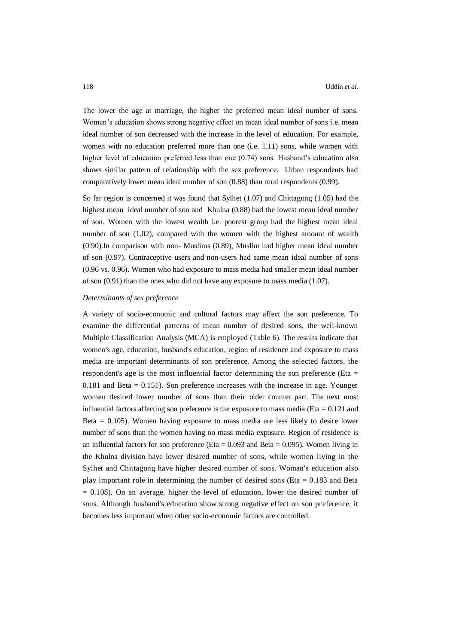The lower the age at marriage, the higher the preferred mean ideal number of sons. Women's education shows strong negative effect on mean ideal number of sons i.e. mean ideal number of son decreased with the increase in the level of education. For example, women with no education preferred more than one (i.e. 1.11) sons, while women with higher level of education preferred less than one (0.74) sons. Husband's education also shows similar pattern of relationship with the sex preference. Urban respondents had comparatively lower mean ideal number of son (0.88) than rural respondents (0.99).

So far region is concerned it was found that Sylhet (1.07) and Chittagong (1.05) had the highest mean ideal number of son and Khulna (0.88) had the lowest mean ideal number of son. Women with the lowest wealth i.e. poorest group had the highest mean ideal number of son (1.02), compared with the women with the highest amount of wealth (0.90).In comparison with non- Muslims (0.89), Muslim had higher mean ideal number of son (0.97). Contraceptive users and non-users had same mean ideal number of sons (0.96 vs. 0.96). Women who had exposure to mass media had smaller mean ideal number of son (0.91) than the ones who did not have any exposure to mass media (1.07).

## *Determinants of sex preference*

A variety of socio-economic and cultural factors may affect the son preference. To examine the differential patterns of mean number of desired sons, the well-known Multiple Classification Analysis (MCA) is employed (Table 6). The results indicate that women's age, education, husband's education, region of residence and exposure to mass media are important determinants of son preference. Among the selected factors, the respondent's age is the most influential factor determining the son preference (Eta  $=$  $0.181$  and Beta =  $0.151$ ). Son preference increases with the increase in age. Younger women desired lower number of sons than their older counter part. The next most influential factors affecting son preference is the exposure to mass media (Eta  $= 0.121$  and Beta = 0.105). Women having exposure to mass media are less likely to desire lower number of sons than the women having no mass media exposure. Region of residence is an influential factors for son preference (Eta  $= 0.093$  and Beta  $= 0.095$ ). Women living in the Khulna division have lower desired number of sons, while women living in the Sylhet and Chittagong have higher desired number of sons. Woman's education also play important role in determining the number of desired sons (Eta = 0.183 and Beta  $= 0.108$ ). On an average, higher the level of education, lower the desired number of sons. Although husband's education show strong negative effect on son preference, it becomes less important when other socio-economic factors are controlled.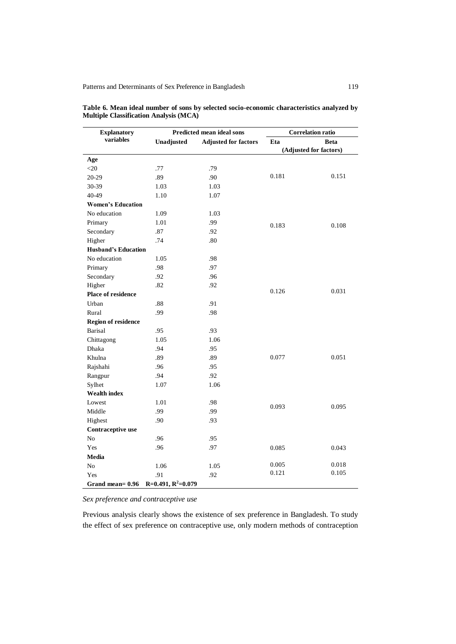| <b>Explanatory</b>         |                                           | <b>Predicted mean ideal sons</b> | <b>Correlation ratio</b> |                        |
|----------------------------|-------------------------------------------|----------------------------------|--------------------------|------------------------|
| variables                  | Unadjusted<br><b>Adjusted for factors</b> |                                  | Eta                      | <b>Beta</b>            |
|                            |                                           |                                  |                          | (Adjusted for factors) |
| Age                        |                                           |                                  |                          |                        |
| $<$ 20                     | .77                                       | .79                              |                          |                        |
| 20-29                      | .89                                       | .90                              | 0.181                    | 0.151                  |
| 30-39                      | 1.03                                      | 1.03                             |                          |                        |
| 40-49                      | 1.10                                      | 1.07                             |                          |                        |
| <b>Women's Education</b>   |                                           |                                  |                          |                        |
| No education               | 1.09                                      | 1.03                             |                          |                        |
| Primary                    | 1.01                                      | .99                              | 0.183                    | 0.108                  |
| Secondary                  | .87                                       | .92                              |                          |                        |
| Higher                     | .74                                       | .80                              |                          |                        |
| <b>Husband's Education</b> |                                           |                                  |                          |                        |
| No education               | 1.05                                      | .98                              |                          |                        |
| Primary                    | .98                                       | .97                              |                          |                        |
| Secondary                  | .92                                       | .96                              |                          |                        |
| Higher                     | .82                                       | .92                              |                          |                        |
| Place of residence         |                                           |                                  | 0.126                    | 0.031                  |
| Urban                      | .88                                       | .91                              |                          |                        |
| Rural                      | .99                                       | .98                              |                          |                        |
| <b>Region of residence</b> |                                           |                                  |                          |                        |
| Barisal                    | .95                                       | .93                              |                          |                        |
| Chittagong                 | 1.05                                      | 1.06                             |                          |                        |
| Dhaka                      | .94                                       | .95                              |                          |                        |
| Khulna                     | .89                                       | .89                              | 0.077                    | 0.051                  |
| Rajshahi                   | .96                                       | .95                              |                          |                        |
| Rangpur                    | .94                                       | .92                              |                          |                        |
| Sylhet                     | 1.07                                      | 1.06                             |                          |                        |
| <b>Wealth index</b>        |                                           |                                  |                          |                        |
| Lowest                     | 1.01                                      | .98                              |                          |                        |
| Middle                     | .99                                       | .99                              | 0.093                    | 0.095                  |
| Highest                    | .90                                       | .93                              |                          |                        |
| Contraceptive use          |                                           |                                  |                          |                        |
| $\rm No$                   | .96                                       | .95                              |                          |                        |
| Yes                        | .96                                       | .97                              | 0.085                    | 0.043                  |
| Media                      |                                           |                                  |                          |                        |
| N <sub>o</sub>             | 1.06                                      | 1.05                             | 0.005                    | 0.018                  |
| Yes                        | .91                                       | .92                              | 0.121                    | 0.105                  |
| Grand mean= 0.96           | $R=0.491, R^2=0.079$                      |                                  |                          |                        |

**Table 6. Mean ideal number of sons by selected socio-economic characteristics analyzed by Multiple Classification Analysis (MCA)**

*Sex preference and contraceptive use*

Previous analysis clearly shows the existence of sex preference in Bangladesh. To study the effect of sex preference on contraceptive use, only modern methods of contraception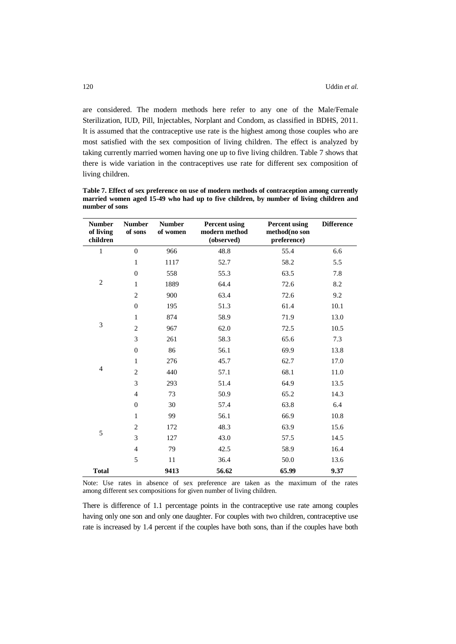are considered. The modern methods here refer to any one of the Male/Female Sterilization, IUD, Pill, Injectables, Norplant and Condom, as classified in BDHS, 2011. It is assumed that the contraceptive use rate is the highest among those couples who are most satisfied with the sex composition of living children. The effect is analyzed by taking currently married women having one up to five living children. Table 7 shows that there is wide variation in the contraceptives use rate for different sex composition of living children.

| <b>Number</b><br>of living<br>children | <b>Number</b><br>of sons | <b>Number</b><br>of women | <b>Percent using</b><br>modern method<br>(observed) | <b>Percent using</b><br>method(no son<br>preference) | <b>Difference</b> |
|----------------------------------------|--------------------------|---------------------------|-----------------------------------------------------|------------------------------------------------------|-------------------|
| $\,1$                                  | $\overline{0}$           | 966                       | 48.8                                                | 55.4                                                 | 6.6               |
|                                        | $\mathbf{1}$             | 1117                      | 52.7                                                | 58.2                                                 | 5.5               |
|                                        | $\mathbf{0}$             | 558                       | 55.3                                                | 63.5                                                 | 7.8               |
| $\overline{c}$                         | $\mathbf{1}$             | 1889                      | 64.4                                                | 72.6                                                 | 8.2               |
|                                        | $\mathbf{2}$             | 900                       | 63.4                                                | 72.6                                                 | 9.2               |
|                                        | $\boldsymbol{0}$         | 195                       | 51.3                                                | 61.4                                                 | 10.1              |
|                                        | $\mathbf{1}$             | 874                       | 58.9                                                | 71.9                                                 | 13.0              |
| 3                                      | $\overline{c}$           | 967                       | 62.0                                                | 72.5                                                 | 10.5              |
|                                        | 3                        | 261                       | 58.3                                                | 65.6                                                 | 7.3               |
|                                        | $\mathbf{0}$             | 86                        | 56.1                                                | 69.9                                                 | 13.8              |
|                                        | $\mathbf{1}$             | 276                       | 45.7                                                | 62.7                                                 | 17.0              |
| $\overline{4}$                         | 2                        | 440                       | 57.1                                                | 68.1                                                 | 11.0              |
|                                        | 3                        | 293                       | 51.4                                                | 64.9                                                 | 13.5              |
|                                        | $\overline{4}$           | 73                        | 50.9                                                | 65.2                                                 | 14.3              |
|                                        | $\mathbf{0}$             | 30                        | 57.4                                                | 63.8                                                 | 6.4               |
|                                        | $\mathbf{1}$             | 99                        | 56.1                                                | 66.9                                                 | 10.8              |
|                                        | $\overline{c}$           | 172                       | 48.3                                                | 63.9                                                 | 15.6              |
| 5                                      | 3                        | 127                       | 43.0                                                | 57.5                                                 | 14.5              |
|                                        | $\overline{4}$           | 79                        | 42.5                                                | 58.9                                                 | 16.4              |
|                                        | 5                        | 11                        | 36.4                                                | 50.0                                                 | 13.6              |
| <b>Total</b>                           |                          | 9413                      | 56.62                                               | 65.99                                                | 9.37              |

**Table 7. Effect of sex preference on use of modern methods of contraception among currently married women aged 15-49 who had up to five children, by number of living children and number of sons**

Note: Use rates in absence of sex preference are taken as the maximum of the rates among different sex compositions for given number of living children.

There is difference of 1.1 percentage points in the contraceptive use rate among couples having only one son and only one daughter. For couples with two children, contraceptive use rate is increased by 1.4 percent if the couples have both sons, than if the couples have both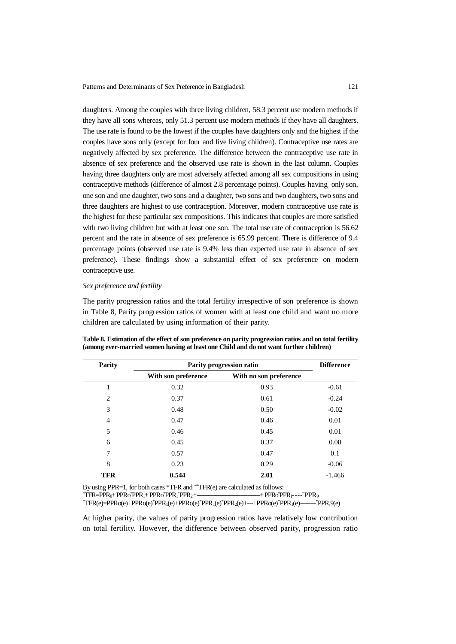daughters. Among the couples with three living children, 58.3 percent use modern methods if they have all sons whereas, only 51.3 percent use modern methods if they have all daughters. The use rate is found to be the lowest if the couples have daughters only and the highest if the couples have sons only (except for four and five living children). Contraceptive use rates are negatively affected by sex preference. The difference between the contraceptive use rate in absence of sex preference and the observed use rate is shown in the last column. Couples having three daughters only are most adversely affected among all sex compositions in using contraceptive methods (difference of almost 2.8 percentage points). Couples having only son, one son and one daughter, two sons and a daughter, two sons and two daughters, two sons and three daughters are highest to use contraception. Moreover, modern contraceptive use rate is the highest for these particular sex compositions. This indicates that couples are more satisfied with two living children but with at least one son. The total use rate of contraception is 56.62 percent and the rate in absence of sex preference is 65.99 percent. There is difference of 9.4 percentage points (observed use rate is 9.4% less than expected use rate in absence of sex preference). These findings show a substantial effect of sex preference on modern contraceptive use.

## *Sex preference and fertility*

The parity progression ratios and the total fertility irrespective of son preference is shown in Table 8, Parity progression ratios of women with at least one child and want no more children are calculated by using information of their parity.

| <b>Parity</b>  | Parity progression ratio | <b>Difference</b>      |          |
|----------------|--------------------------|------------------------|----------|
|                | With son preference      | With no son preference |          |
|                | 0.32                     | 0.93                   | $-0.61$  |
| 2              | 0.37                     | 0.61                   | $-0.24$  |
| 3              | 0.48                     | 0.50                   | $-0.02$  |
| $\overline{4}$ | 0.47                     | 0.46                   | 0.01     |
| 5              | 0.46                     | 0.45                   | 0.01     |
| 6              | 0.45                     | 0.37                   | 0.08     |
| 7              | 0.57                     | 0.47                   | 0.1      |
| 8              | 0.23                     | 0.29                   | $-0.06$  |
| <b>TFR</b>     | 0.544                    | 2.01                   | $-1.466$ |

**Table 8. Estimation of the effect of son preference on parity progression ratios and on total fertility (among ever-married women having at least one Child and do not want further children)** 

By using PPR=1, for both cases \*TFR and \*\*TFR(e) are calculated as follows:

 $*$ TFR=PPR $_{0}$ + PPR $_{0}*$ PPR $_{1}$ + PPR $_{0}*$ PPR $_{1}*$ PPR $_{2}+$ \*PPR2 +-------------------------------------+PPRo\*PPR1---- \*PPR<sup>9</sup>

\*TFR(e)=PPRo(e)+PPRo(e)\*PPR1(e)+PPRo(e) \*PPR1(e)\*PPR2(e)+---+PPRo(e)\*PPR1(e)-------- \*PPR,9(e)

At higher parity, the values of parity progression ratios have relatively low contribution on total fertility. However, the difference between observed parity, progression ratio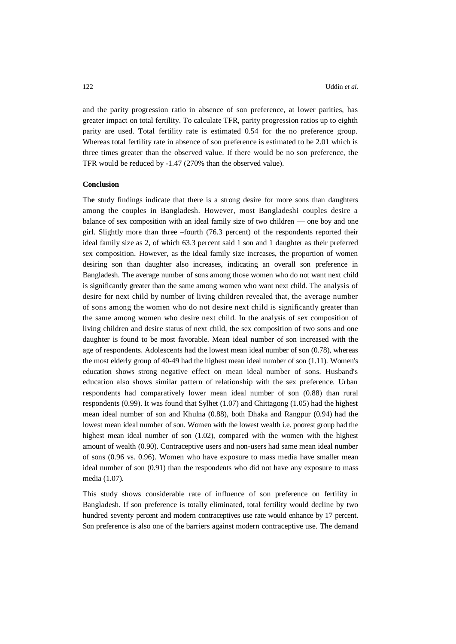and the parity progression ratio in absence of son preference, at lower parities, has greater impact on total fertility. To calculate TFR, parity progression ratios up to eighth parity are used. Total fertility rate is estimated 0.54 for the no preference group. Whereas total fertility rate in absence of son preference is estimated to be 2.01 which is three times greater than the observed value. If there would be no son preference, the TFR would be reduced by -1.47 (270% than the observed value).

### **Conclusion**

Th**e** study findings indicate that there is a strong desire for more sons than daughters among the couples in Bangladesh. However, most Bangladeshi couples desire a balance of sex composition with an ideal family size of two children — one boy and one girl. Slightly more than three –fourth (76.3 percent) of the respondents reported their ideal family size as 2, of which 63.3 percent said 1 son and 1 daughter as their preferred sex composition. However, as the ideal family size increases, the proportion of women desiring son than daughter also increases, indicating an overall son preference in Bangladesh. The average number of sons among those women who do not want next child is significantly greater than the same among women who want next child. The analysis of desire for next child by number of living children revealed that, the average number of sons among the women who do not desire next child is significantly greater than the same among women who desire next child. In the analysis of sex composition of living children and desire status of next child, the sex composition of two sons and one daughter is found to be most favorable. Mean ideal number of son increased with the age of respondents. Adolescents had the lowest mean ideal number of son (0.78), whereas the most elderly group of 40-49 had the highest mean ideal number of son (1.11). Women's education shows strong negative effect on mean ideal number of sons. Husband's education also shows similar pattern of relationship with the sex preference. Urban respondents had comparatively lower mean ideal number of son (0.88) than rural respondents (0.99). It was found that Sylhet (1.07) and Chittagong (1.05) had the highest mean ideal number of son and Khulna (0.88), both Dhaka and Rangpur (0.94) had the lowest mean ideal number of son. Women with the lowest wealth i.e. poorest group had the highest mean ideal number of son (1.02), compared with the women with the highest amount of wealth (0.90). Contraceptive users and non-users had same mean ideal number of sons (0.96 vs. 0.96). Women who have exposure to mass media have smaller mean ideal number of son (0.91) than the respondents who did not have any exposure to mass media (1.07).

This study shows considerable rate of influence of son preference on fertility in Bangladesh. If son preference is totally eliminated, total fertility would decline by two hundred seventy percent and modern contraceptives use rate would enhance by 17 percent. Son preference is also one of the barriers against modern contraceptive use. The demand